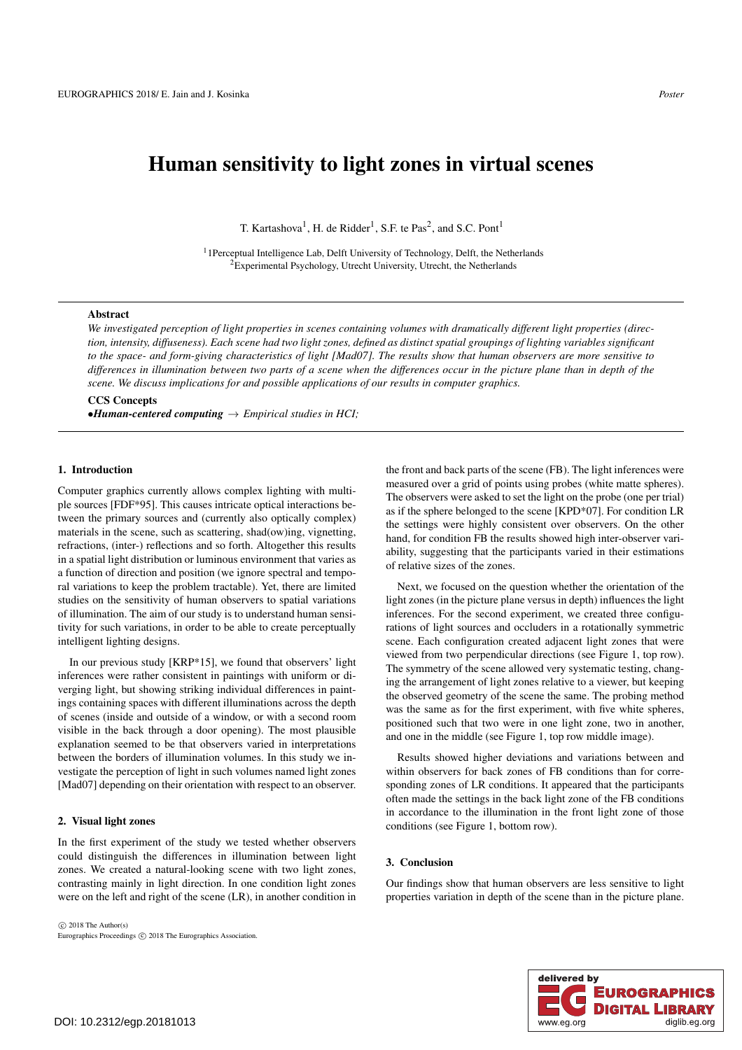# Human sensitivity to light zones in virtual scenes

T. Kartashova<sup>1</sup>, H. de Ridder<sup>1</sup>, S.F. te Pas<sup>2</sup>, and S.C. Pont<sup>1</sup>

<sup>1</sup> 1Perceptual Intelligence Lab, Delft University of Technology, Delft, the Netherlands 2Experimental Psychology, Utrecht University, Utrecht, the Netherlands

#### Abstract

*We investigated perception of light properties in scenes containing volumes with dramatically different light properties (direction, intensity, diffuseness). Each scene had two light zones, defined as distinct spatial groupings of lighting variables significant to the space- and form-giving characteristics of light [Mad07]. The results show that human observers are more sensitive to differences in illumination between two parts of a scene when the differences occur in the picture plane than in depth of the scene. We discuss implications for and possible applications of our results in computer graphics.*

CCS Concepts •*Human-centered computing* → *Empirical studies in HCI;*

### 1. Introduction

Computer graphics currently allows complex lighting with multiple sources [FDF\*95]. This causes intricate optical interactions between the primary sources and (currently also optically complex) materials in the scene, such as scattering, shad(ow)ing, vignetting, refractions, (inter-) reflections and so forth. Altogether this results in a spatial light distribution or luminous environment that varies as a function of direction and position (we ignore spectral and temporal variations to keep the problem tractable). Yet, there are limited studies on the sensitivity of human observers to spatial variations of illumination. The aim of our study is to understand human sensitivity for such variations, in order to be able to create perceptually intelligent lighting designs.

In our previous study [KRP\*15], we found that observers' light inferences were rather consistent in paintings with uniform or diverging light, but showing striking individual differences in paintings containing spaces with different illuminations across the depth of scenes (inside and outside of a window, or with a second room visible in the back through a door opening). The most plausible explanation seemed to be that observers varied in interpretations between the borders of illumination volumes. In this study we investigate the perception of light in such volumes named light zones [Mad07] depending on their orientation with respect to an observer.

#### 2. Visual light zones

In the first experiment of the study we tested whether observers could distinguish the differences in illumination between light zones. We created a natural-looking scene with two light zones, contrasting mainly in light direction. In one condition light zones were on the left and right of the scene (LR), in another condition in

 $\odot$  2018 The Author(s) Eurographics Proceedings (C) 2018 The Eurographics Association. the front and back parts of the scene (FB). The light inferences were measured over a grid of points using probes (white matte spheres). The observers were asked to set the light on the probe (one per trial) as if the sphere belonged to the scene [KPD\*07]. For condition LR the settings were highly consistent over observers. On the other hand, for condition FB the results showed high inter-observer variability, suggesting that the participants varied in their estimations of relative sizes of the zones.

Next, we focused on the question whether the orientation of the light zones (in the picture plane versus in depth) influences the light inferences. For the second experiment, we created three configurations of light sources and occluders in a rotationally symmetric scene. Each configuration created adjacent light zones that were viewed from two perpendicular directions (see Figure 1, top row). The symmetry of the scene allowed very systematic testing, changing the arrangement of light zones relative to a viewer, but keeping the observed geometry of the scene the same. The probing method was the same as for the first experiment, with five white spheres, positioned such that two were in one light zone, two in another, and one in the middle (see Figure 1, top row middle image).

Results showed higher deviations and variations between and within observers for back zones of FB conditions than for corresponding zones of LR conditions. It appeared that the participants often made the settings in the back light zone of the FB conditions in accordance to the illumination in the front light zone of those conditions (see Figure 1, bottom row).

#### 3. Conclusion

Our findings show that human observers are less sensitive to light properties variation in depth of the scene than in the picture plane.